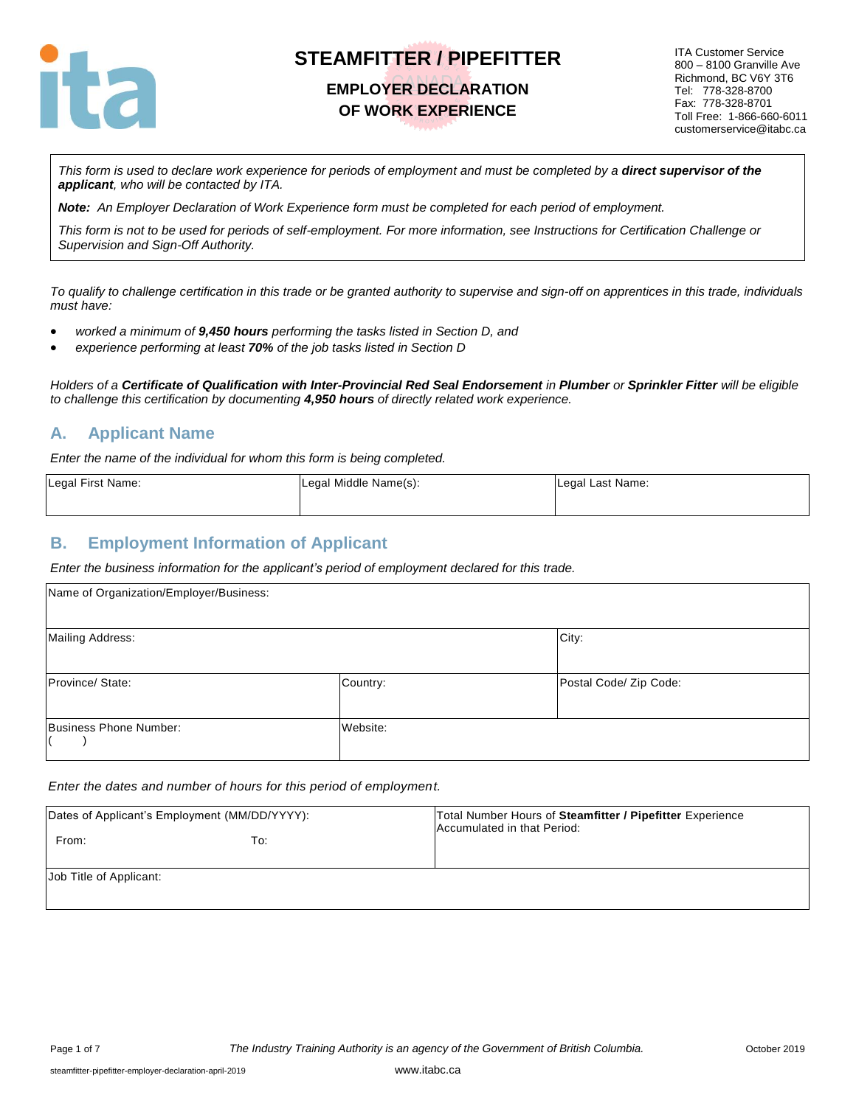

### **EMPLOYER DECLARATION OF WORK EXPERIENCE**

ITA Customer Service 800 – 8100 Granville Ave Richmond, BC V6Y 3T6 Tel: 778-328-8700 Fax: 778-328-8701 Toll Free: 1-866-660-6011 customerservice@itabc.ca

This form is used to declare work experience for periods of employment and must be completed by a **direct supervisor of the** *applicant, who will be contacted by ITA.*

*Note: An Employer Declaration of Work Experience form must be completed for each period of employment.*

*This form is not to be used for periods of self-employment. For more information, see Instructions for Certification Challenge or Supervision and Sign-Off Authority.*

*To qualify to challenge certification in this trade or be granted authority to supervise and sign-off on apprentices in this trade, individuals must have:*

- *worked a minimum of 9,450 hours performing the tasks listed in Section D, and*
- *experience performing at least 70% of the job tasks listed in Section D*

*Holders of a Certificate of Qualification with Inter-Provincial Red Seal Endorsement in Plumber or Sprinkler Fitter will be eligible to challenge this certification by documenting 4,950 hours of directly related work experience.* 

#### **A. Applicant Name**

*Enter the name of the individual for whom this form is being completed.*

| Legal First Name: | Legal Middle Name(s): | Legal Last Name: |
|-------------------|-----------------------|------------------|
|                   |                       |                  |

#### **B. Employment Information of Applicant**

*Enter the business information for the applicant's period of employment declared for this trade.*

| Name of Organization/Employer/Business: |          |                        |  |
|-----------------------------------------|----------|------------------------|--|
| <b>Mailing Address:</b>                 |          | City:                  |  |
| Province/ State:                        | Country: | Postal Code/ Zip Code: |  |
| Business Phone Number:                  | Website: |                        |  |

#### *Enter the dates and number of hours for this period of employment.*

| Dates of Applicant's Employment (MM/DD/YYYY):<br>From:<br>To: | Total Number Hours of Steamfitter / Pipefitter Experience<br>Accumulated in that Period: |
|---------------------------------------------------------------|------------------------------------------------------------------------------------------|
| Job Title of Applicant:                                       |                                                                                          |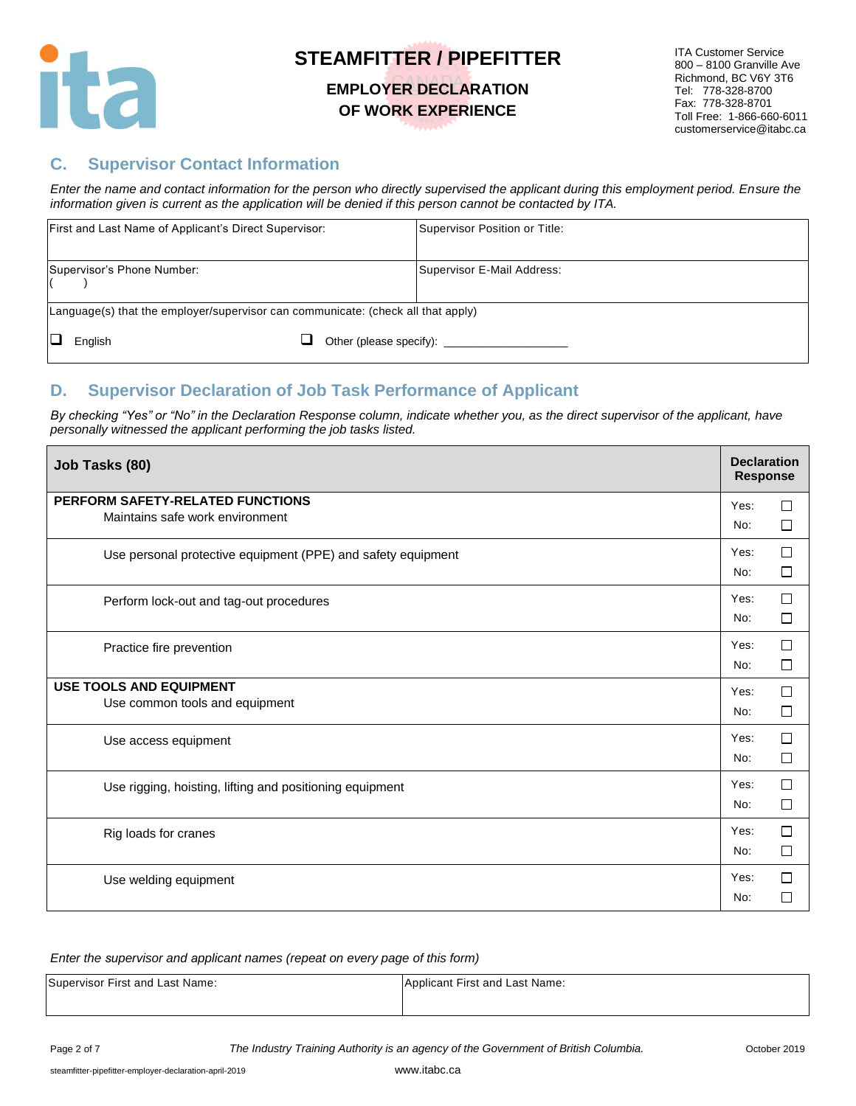

#### **EMPLOYER DECLARATION OF WORK EXPERIENCE**

#### **C. Supervisor Contact Information**

*Enter the name and contact information for the person who directly supervised the applicant during this employment period. Ensure the information given is current as the application will be denied if this person cannot be contacted by ITA.*

| First and Last Name of Applicant's Direct Supervisor:                            |  | Supervisor Position or Title: |
|----------------------------------------------------------------------------------|--|-------------------------------|
| Supervisor's Phone Number:                                                       |  | Supervisor E-Mail Address:    |
| Language(s) that the employer/supervisor can communicate: (check all that apply) |  |                               |
| English                                                                          |  | Other (please specify):       |

#### **D. Supervisor Declaration of Job Task Performance of Applicant**

*By checking "Yes" or "No" in the Declaration Response column, indicate whether you, as the direct supervisor of the applicant, have personally witnessed the applicant performing the job tasks listed.* 

| Job Tasks (80)                                                      | <b>Declaration</b><br><b>Response</b> |             |
|---------------------------------------------------------------------|---------------------------------------|-------------|
| PERFORM SAFETY-RELATED FUNCTIONS<br>Maintains safe work environment | Yes:<br>No:                           | □<br>□      |
| Use personal protective equipment (PPE) and safety equipment        | Yes:<br>No:                           | П<br>$\Box$ |
| Perform lock-out and tag-out procedures                             | Yes:<br>No:                           | □<br>□      |
| Practice fire prevention                                            | Yes:<br>No:                           | П<br>□      |
| <b>USE TOOLS AND EQUIPMENT</b><br>Use common tools and equipment    | Yes:<br>No:                           | П<br>□      |
| Use access equipment                                                | Yes:<br>No:                           | П<br>□      |
| Use rigging, hoisting, lifting and positioning equipment            | Yes:<br>No:                           | □<br>□      |
| Rig loads for cranes                                                | Yes:<br>No:                           | П<br>□      |
| Use welding equipment                                               | Yes:<br>No:                           | П           |

#### *Enter the supervisor and applicant names (repeat on every page of this form)*

| Supervisor First and Last Name: | Applicant First and Last Name: |
|---------------------------------|--------------------------------|
|                                 |                                |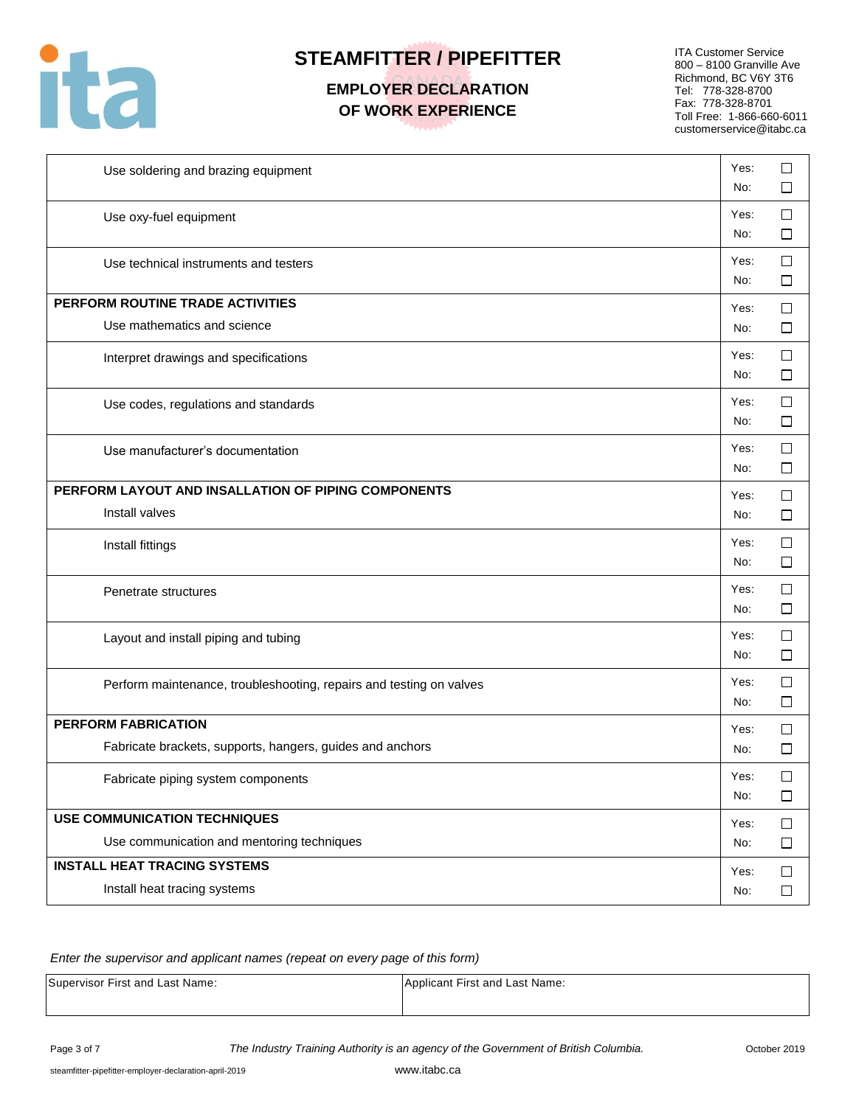

# **EMPLOYER DECLARATION OF WORK EXPERIENCE**

ITA Customer Service 800 – 8100 Granville Ave Richmond, BC V6Y 3T6 Tel: 778-328-8700 Fax: 778-328-8701 Toll Free: 1-866-660-6011 customerservice@itabc.ca

| Use soldering and brazing equipment                                 | Yes:<br>No: | □<br>□           |
|---------------------------------------------------------------------|-------------|------------------|
| Use oxy-fuel equipment                                              | Yes:<br>No: | $\Box$<br>□      |
| Use technical instruments and testers                               | Yes:<br>No: | $\Box$<br>□      |
| PERFORM ROUTINE TRADE ACTIVITIES                                    | Yes:        | □                |
| Use mathematics and science                                         | No:         | □                |
| Interpret drawings and specifications                               | Yes:<br>No: | $\Box$<br>□      |
| Use codes, regulations and standards                                | Yes:<br>No: | □<br>□           |
| Use manufacturer's documentation                                    | Yes:<br>No: | $\Box$<br>□      |
| PERFORM LAYOUT AND INSALLATION OF PIPING COMPONENTS                 | Yes:        | $\Box$           |
| Install valves                                                      | No:         | □                |
| Install fittings                                                    | Yes:<br>No: | □<br>□           |
| Penetrate structures                                                | Yes:<br>No: | $\Box$<br>$\Box$ |
| Layout and install piping and tubing                                | Yes:<br>No: | $\Box$<br>ப      |
| Perform maintenance, troubleshooting, repairs and testing on valves | Yes:<br>No: | $\Box$<br>ப      |
| <b>PERFORM FABRICATION</b>                                          | Yes:        | □                |
| Fabricate brackets, supports, hangers, guides and anchors           | No:         | □                |
| Fabricate piping system components                                  | Yes:<br>No: | □<br>$\Box$      |
| <b>USE COMMUNICATION TECHNIQUES</b>                                 | Yes:        | $\Box$           |
| Use communication and mentoring techniques                          | No:         | $\Box$           |
| <b>INSTALL HEAT TRACING SYSTEMS</b>                                 | Yes:        | $\Box$           |
| Install heat tracing systems                                        | No:         | $\Box$           |

#### *Enter the supervisor and applicant names (repeat on every page of this form)*

Supervisor First and Last Name: Applicant First and Last Name: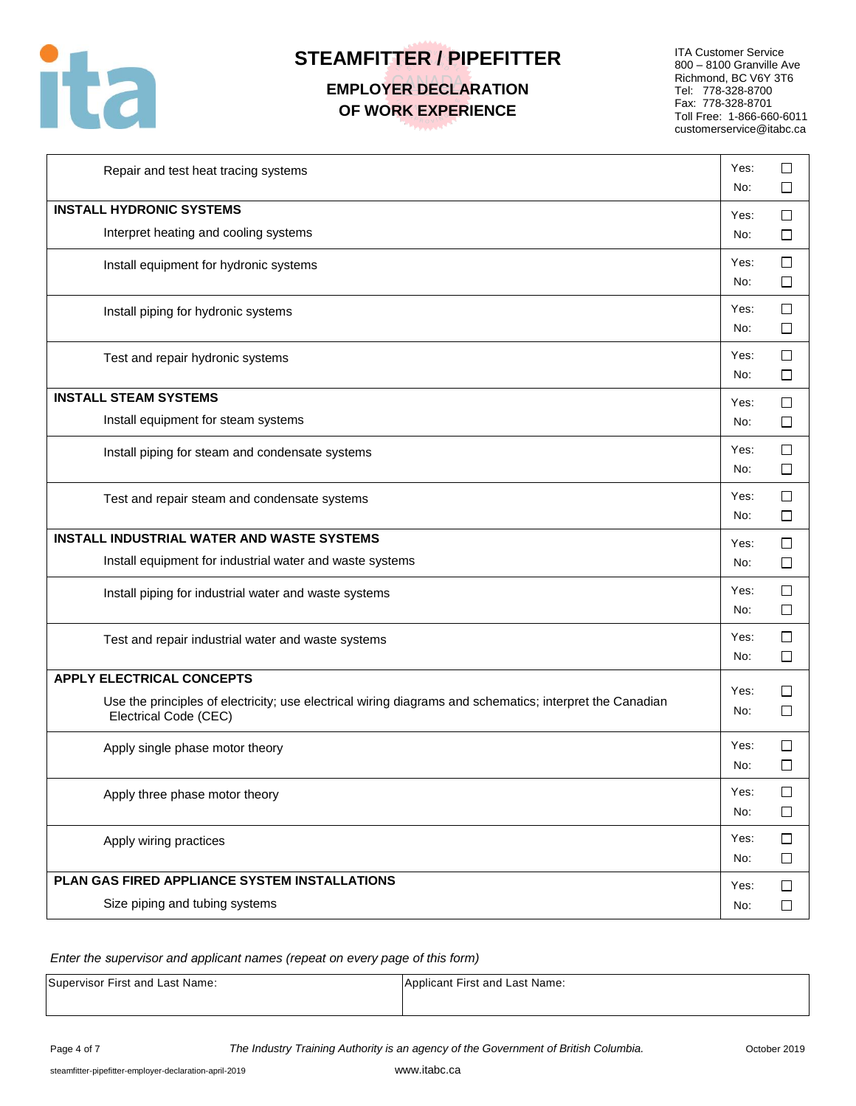

# **EMPLOYER DECLARATION OF WORK EXPERIENCE**

ITA Customer Service 800 – 8100 Granville Ave Richmond, BC V6Y 3T6 Tel: 778-328-8700 Fax: 778-328-8701 Toll Free: 1-866-660-6011 customerservice@itabc.ca

| Repair and test heat tracing systems                                                                                              | Yes:<br>No: | П<br>ΙI          |
|-----------------------------------------------------------------------------------------------------------------------------------|-------------|------------------|
| <b>INSTALL HYDRONIC SYSTEMS</b>                                                                                                   | Yes:        | □                |
| Interpret heating and cooling systems                                                                                             | No:         | $\Box$           |
| Install equipment for hydronic systems                                                                                            | Yes:<br>No: | $\Box$<br>□      |
| Install piping for hydronic systems                                                                                               | Yes:<br>No: | $\Box$<br>□      |
| Test and repair hydronic systems                                                                                                  | Yes:<br>No: | $\Box$<br>$\Box$ |
| <b>INSTALL STEAM SYSTEMS</b>                                                                                                      | Yes:        | $\Box$           |
| Install equipment for steam systems                                                                                               | No:         | П                |
| Install piping for steam and condensate systems                                                                                   | Yes:<br>No: | $\Box$<br>П      |
| Test and repair steam and condensate systems                                                                                      | Yes:<br>No: | $\Box$<br>П      |
| <b>INSTALL INDUSTRIAL WATER AND WASTE SYSTEMS</b>                                                                                 | Yes:        | □                |
| Install equipment for industrial water and waste systems                                                                          | No:         | □                |
| Install piping for industrial water and waste systems                                                                             | Yes:<br>No: | П<br>$\Box$      |
| Test and repair industrial water and waste systems                                                                                | Yes:<br>No: | ⊔<br>$\Box$      |
| <b>APPLY ELECTRICAL CONCEPTS</b>                                                                                                  |             |                  |
| Use the principles of electricity; use electrical wiring diagrams and schematics; interpret the Canadian<br>Electrical Code (CEC) | Yes:<br>No: | ΙI<br>□          |
| Apply single phase motor theory                                                                                                   | Yes:<br>No: | □<br>П           |
| Apply three phase motor theory                                                                                                    | Yes:<br>No: | $\Box$<br>$\Box$ |
| Apply wiring practices                                                                                                            | Yes:<br>No: | $\Box$<br>$\Box$ |
| PLAN GAS FIRED APPLIANCE SYSTEM INSTALLATIONS                                                                                     | Yes:        | $\Box$           |
| Size piping and tubing systems                                                                                                    | No:         | $\Box$           |

*Enter the supervisor and applicant names (repeat on every page of this form)* 

Supervisor First and Last Name: Applicant First and Last Name: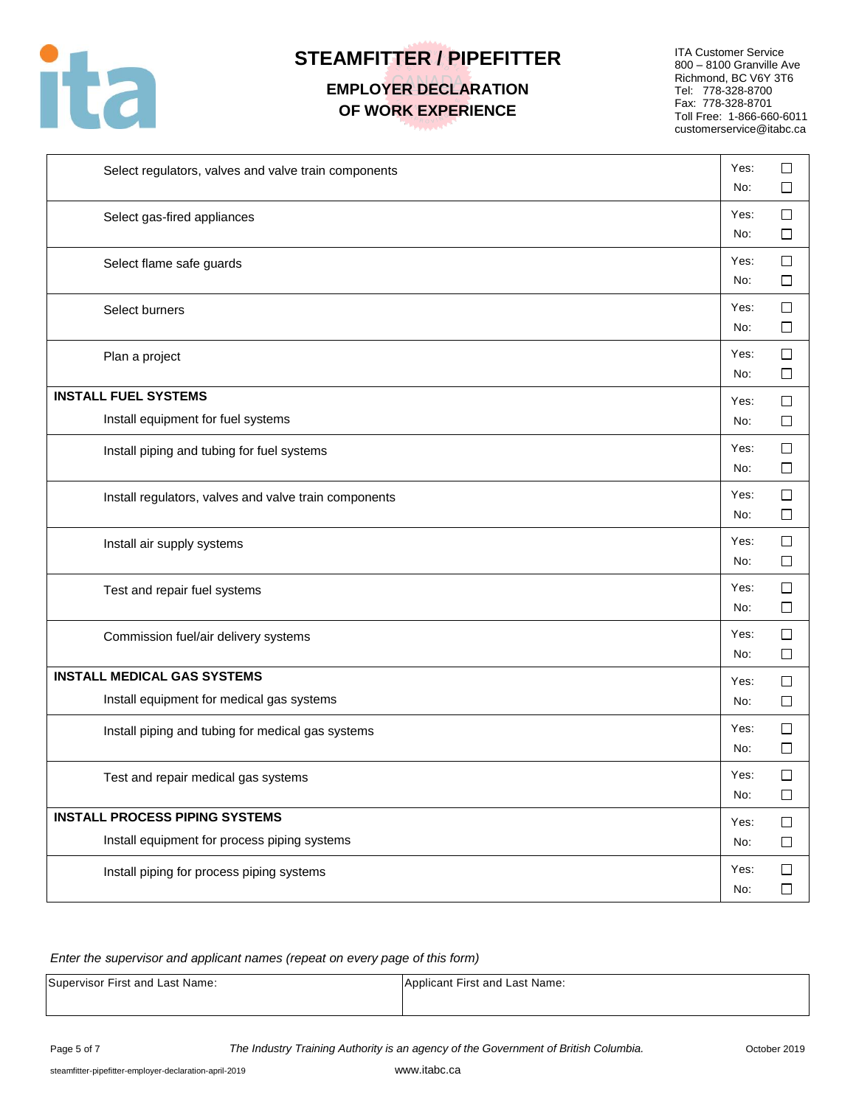

# **EMPLOYER DECLARATION OF WORK EXPERIENCE**

ITA Customer Service 800 – 8100 Granville Ave Richmond, BC V6Y 3T6 Tel: 778-328-8700 Fax: 778-328-8701 Toll Free: 1-866-660-6011 customerservice@itabc.ca

| Select regulators, valves and valve train components  | Yes:<br>No: | □<br>ப           |
|-------------------------------------------------------|-------------|------------------|
| Select gas-fired appliances                           | Yes:<br>No: | $\Box$<br>ப      |
| Select flame safe guards                              | Yes:<br>No: | $\Box$<br>□      |
| Select burners                                        | Yes:<br>No: | □<br>□           |
| Plan a project                                        | Yes:<br>No: | □<br>$\Box$      |
| <b>INSTALL FUEL SYSTEMS</b>                           | Yes:        | ப                |
| Install equipment for fuel systems                    | No:         | □                |
| Install piping and tubing for fuel systems            | Yes:<br>No: | □<br>$\Box$      |
| Install regulators, valves and valve train components | Yes:<br>No: | $\Box$<br>□      |
| Install air supply systems                            | Yes:<br>No: | $\Box$<br>□      |
| Test and repair fuel systems                          | Yes:<br>No: | $\Box$<br>$\Box$ |
| Commission fuel/air delivery systems                  | Yes:<br>No: | $\Box$<br>□      |
| <b>INSTALL MEDICAL GAS SYSTEMS</b>                    | Yes:        | □                |
| Install equipment for medical gas systems             | No:         | $\Box$           |
| Install piping and tubing for medical gas systems     | Yes:<br>No: | □<br>$\Box$      |
| Test and repair medical gas systems                   | Yes:<br>No: | □<br>$\Box$      |
| <b>INSTALL PROCESS PIPING SYSTEMS</b>                 | Yes:        | $\Box$           |
| Install equipment for process piping systems          | No:         | $\Box$           |
| Install piping for process piping systems             | Yes:<br>No: | $\Box$<br>$\Box$ |

#### *Enter the supervisor and applicant names (repeat on every page of this form)*

| Supervisor First and Last Name: | Applicant First and Last Name: |
|---------------------------------|--------------------------------|
|                                 |                                |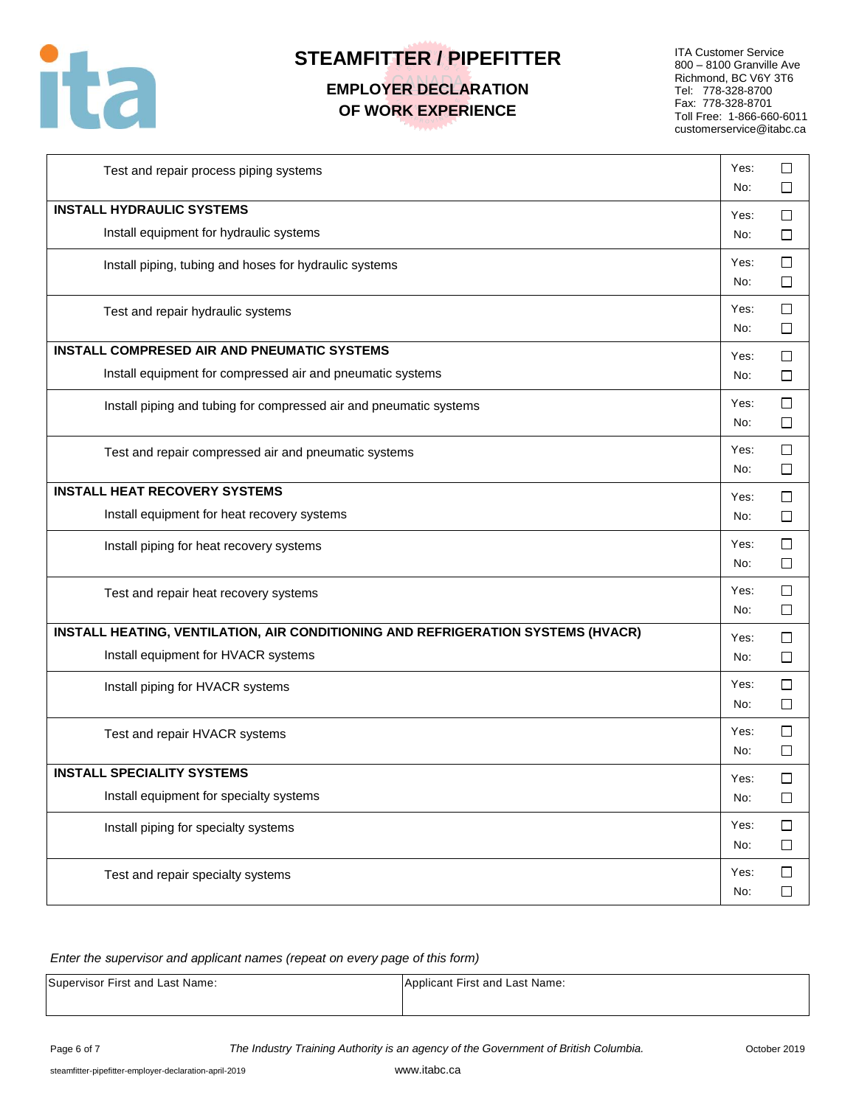

### **EMPLOYER DECLARATION OF WORK EXPERIENCE**

ITA Customer Service 800 – 8100 Granville Ave Richmond, BC V6Y 3T6 Tel: 778-328-8700 Fax: 778-328-8701 Toll Free: 1-866-660-6011 customerservice@itabc.ca

٦

| Test and repair process piping systems                                           | Yes:<br>No: | □<br>⊔           |
|----------------------------------------------------------------------------------|-------------|------------------|
| <b>INSTALL HYDRAULIC SYSTEMS</b>                                                 | Yes:        | $\Box$           |
| Install equipment for hydraulic systems                                          | No:         | □                |
| Install piping, tubing and hoses for hydraulic systems                           | Yes:<br>No: | $\Box$<br>□      |
| Test and repair hydraulic systems                                                | Yes:<br>No: | $\Box$<br>□      |
| <b>INSTALL COMPRESED AIR AND PNEUMATIC SYSTEMS</b>                               | Yes:        | $\Box$           |
| Install equipment for compressed air and pneumatic systems                       | No:         | ப                |
| Install piping and tubing for compressed air and pneumatic systems               | Yes:<br>No: | $\Box$<br>□      |
| Test and repair compressed air and pneumatic systems                             | Yes:<br>No: | $\Box$<br>$\Box$ |
| <b>INSTALL HEAT RECOVERY SYSTEMS</b>                                             | Yes:        | $\Box$           |
| Install equipment for heat recovery systems                                      | No:         | $\Box$           |
| Install piping for heat recovery systems                                         | Yes:<br>No: | $\Box$<br>□      |
| Test and repair heat recovery systems                                            | Yes:<br>No: | □<br>□           |
| INSTALL HEATING, VENTILATION, AIR CONDITIONING AND REFRIGERATION SYSTEMS (HVACR) | Yes:        | $\Box$           |
| Install equipment for HVACR systems                                              | No:         | $\Box$           |
| Install piping for HVACR systems                                                 | Yes:<br>No: | $\Box$<br>□      |
| Test and repair HVACR systems                                                    | Yes:<br>No: | □<br>□           |
| <b>INSTALL SPECIALITY SYSTEMS</b>                                                | Yes:        | □                |
| Install equipment for specialty systems                                          | No:         | $\Box$           |
| Install piping for specialty systems                                             | Yes:<br>No: | $\Box$<br>$\Box$ |
| Test and repair specialty systems                                                | Yes:<br>No: | $\Box$<br>$\Box$ |

#### *Enter the supervisor and applicant names (repeat on every page of this form)*

| Supervisor First and Last Name: | Applicant First and Last Name: |
|---------------------------------|--------------------------------|
|                                 |                                |